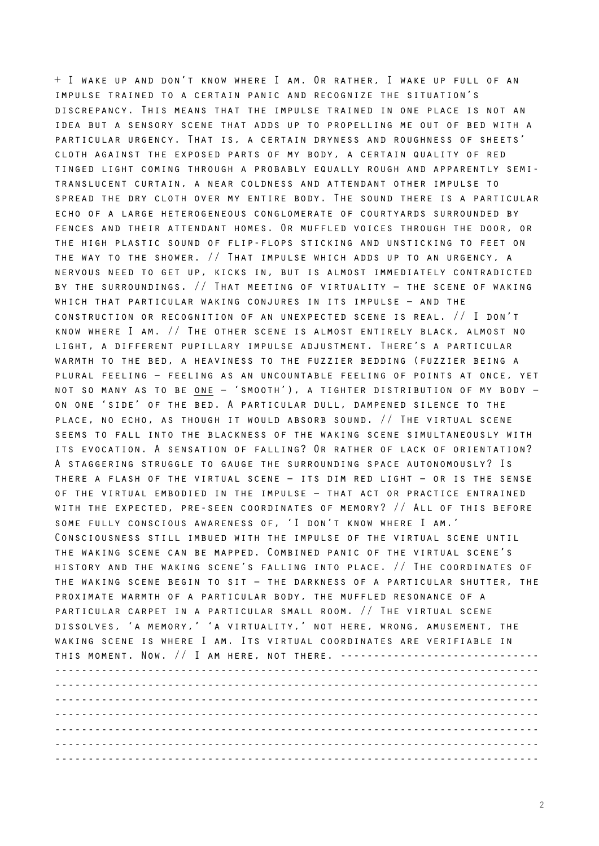+ I wake up and don't know where I am. Or rather, I wake up full of an impulse trained to a certain panic and recognize the situation's discrepancy. This means that the impulse trained in one place is not an idea but a sensory scene that adds up to propelling me out of bed with a particular urgency. That is, a certain dryness and roughness of sheets' cloth against the exposed parts of my body, a certain quality of red tinged light coming through a probably equally rough and apparently semitranslucent curtain, a near coldness and attendant other impulse to spread the dry cloth over my entire body. The sound there is a particular echo of a large heterogeneous conglomerate of courtyards surrounded by fences and their attendant homes. Or muffled voices through the door, or the high plastic sound of flip-flops sticking and unsticking to feet on the way to the shower. // That impulse which adds up to an urgency, a nervous need to get up, kicks in, but is almost immediately contradicted by the surroundings. // That meeting of virtuality – the scene of waking which that particular waking conjures in its impulse – and the construction or recognition of an unexpected scene is real. // I don't know where I am. // The other scene is almost entirely black, almost no light, a different pupillary impulse adjustment. There's a particular warmth to the bed, a heaviness to the fuzzier bedding (fuzzier being a plural feeling – feeling as an uncountable feeling of points at once, yet not so many as to be one – 'smooth'), a tighter distribution of my body – on one 'side' of the bed. A particular dull, dampened silence to the place, no echo, as though it would absorb sound. // The virtual scene seems to fall into the blackness of the waking scene simultaneously with its evocation. A sensation of falling? Or rather of lack of orientation? A staggering struggle to gauge the surrounding space autonomously? Is there a flash of the virtual scene – its dim red light – or is the sense of the virtual embodied in the impulse – that act or practice entrained with the expected, pre-seen coordinates of memory? // All of this before some fully conscious awareness of, 'I don't know where I am.' Consciousness still imbued with the impulse of the virtual scene until the waking scene can be mapped. Combined panic of the virtual scene's history and the waking scene's falling into place. // The coordinates of the waking scene begin to sit – the darkness of a particular shutter, the proximate warmth of a particular body, the muffled resonance of a particular carpet in a particular small room. // The virtual scene dissolves, 'a memory,' 'a virtuality,' not here, wrong, amusement, the waking scene is where I am. Its virtual coordinates are verifiable in THIS MOMENT. NOW. // I AM HERE, NOT THERE. -------------------------------------------------------------------------------------------------------- ------------------------------------------------------------------------- ------------------------------------------------------------------------- ------------------------------------------------------------------------- ------------------------------------------------------------------------- -------------------------------------------------------------------------

-------------------------------------------------------------------------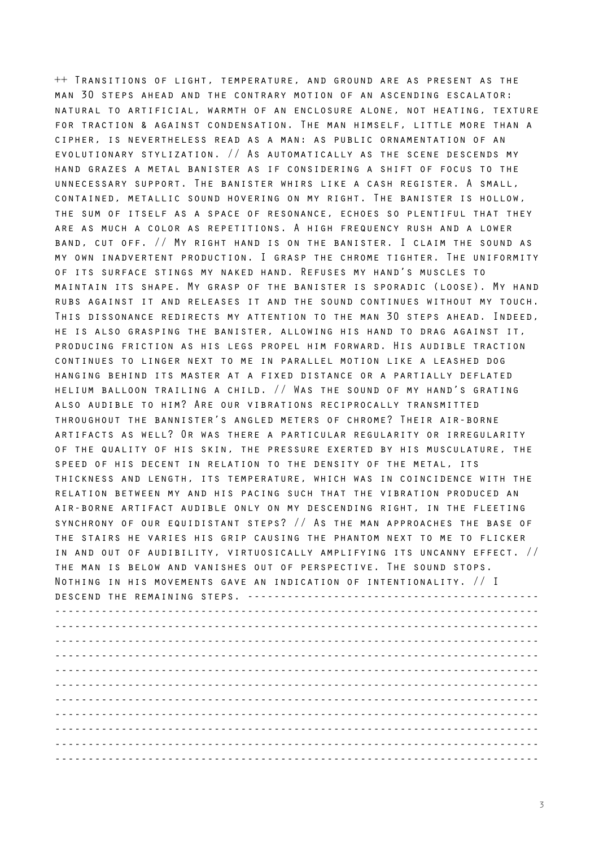++ Transitions of light, temperature, and ground are as present as the man 30 steps ahead and the contrary motion of an ascending escalator: natural to artificial, warmth of an enclosure alone, not heating, texture for traction & against condensation. The man himself, little more than a cipher, is nevertheless read as a man: as public ornamentation of an evolutionary stylization. // As automatically as the scene descends my hand grazes a metal banister as if considering a shift of focus to the unnecessary support. The banister whirs like a cash register. A small, contained, metallic sound hovering on my right. The banister is hollow, the sum of itself as a space of resonance, echoes so plentiful that they are as much a color as repetitions. A high frequency rush and a lower band, cut off. // My right hand is on the banister. I claim the sound as my own inadvertent production. I grasp the chrome tighter. The uniformity of its surface stings my naked hand. Refuses my hand's muscles to maintain its shape. My grasp of the banister is sporadic (loose). My hand rubs against it and releases it and the sound continues without my touch. This dissonance redirects my attention to the man 30 steps ahead. Indeed, he is also grasping the banister, allowing his hand to drag against it, producing friction as his legs propel him forward. His audible traction continues to linger next to me in parallel motion like a leashed dog hanging behind its master at a fixed distance or a partially deflated helium balloon trailing a child. // Was the sound of my hand's grating also audible to him? Are our vibrations reciprocally transmitted throughout the bannister's angled meters of chrome? Their air-borne artifacts as well? Or was there a particular regularity or irregularity of the quality of his skin, the pressure exerted by his musculature, the speed of his decent in relation to the density of the metal, its thickness and length, its temperature, which was in coincidence with the relation between my and his pacing such that the vibration produced an air-borne artifact audible only on my descending right, in the fleeting synchrony of our equidistant steps? // As the man approaches the base of the stairs he varies his grip causing the phantom next to me to flicker in and out of audibility, virtuosically amplifying its uncanny effect. // the man is below and vanishes out of perspective. The sound stops. Nothing in his movements gave an indication of intentionality. // I descend the remaining steps. -------------------------------------------- ------------------------------------------------------------------------- ------------------------------------------------------------------------- ------------------------------------------------------------------------- ------------------------------------------------------------------------- ------------------------------------------------------------------------- ------------------------------------------------------------------------- ------------------------------------------------------------------------- ------------------------------------------------------------------------- ------------------------------------------------------------------------- ------------------------------------------------------------------------- -------------------------------------------------------------------------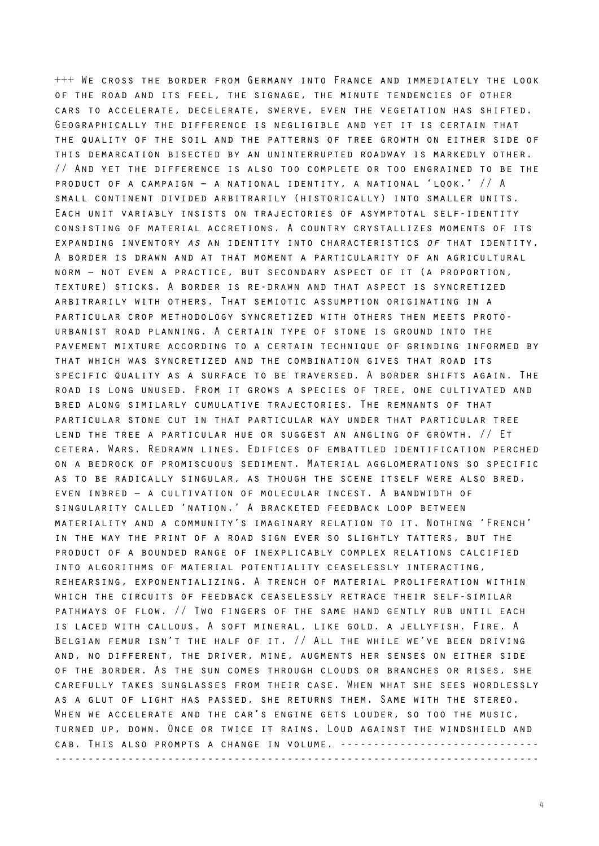+++ We cross the border from Germany into France and immediately the look of the road and its feel, the signage, the minute tendencies of other cars to accelerate, decelerate, swerve, even the vegetation has shifted. Geographically the difference is negligible and yet it is certain that the quality of the soil and the patterns of tree growth on either side of this demarcation bisected by an uninterrupted roadway is markedly other. // And yet the difference is also too complete or too engrained to be the product of a campaign – a national identity, a national 'look.' // A small continent divided arbitrarily (historically) into smaller units. Each unit variably insists on trajectories of asymptotal self-identity consisting of material accretions. A country crystallizes moments of its expanding inventory *as* an identity into characteristics *of* that identity. A border is drawn and at that moment a particularity of an agricultural norm – not even a practice, but secondary aspect of it (a proportion, texture) sticks. A border is re-drawn and that aspect is syncretized arbitrarily with others. That semiotic assumption originating in a particular crop methodology syncretized with others then meets protourbanist road planning. A certain type of stone is ground into the pavement mixture according to a certain technique of grinding informed by that which was syncretized and the combination gives that road its specific quality as a surface to be traversed. A border shifts again. The road is long unused. From it grows a species of tree, one cultivated and bred along similarly cumulative trajectories. The remnants of that particular stone cut in that particular way under that particular tree lend the tree a particular hue or suggest an angling of growth. // Et cetera. Wars. Redrawn lines. Edifices of embattled identification perched on a bedrock of promiscuous sediment. Material agglomerations so specific as to be radically singular, as though the scene itself were also bred, even inbred – a cultivation of molecular incest. A bandwidth of singularity called 'nation.' A bracketed feedback loop between materiality and a community's imaginary relation to it. Nothing 'French' in the way the print of a road sign ever so slightly tatters, but the product of a bounded range of inexplicably complex relations calcified into algorithms of material potentiality ceaselessly interacting, rehearsing, exponentializing. A trench of material proliferation within which the circuits of feedback ceaselessly retrace their self-similar pathways of flow. // Two fingers of the same hand gently rub until each is laced with callous. A soft mineral, like gold. a jellyfish. Fire. A Belgian femur isn't the half of it. // All the while we've been driving and, no different, the driver, mine, augments her senses on either side of the border. As the sun comes through clouds or branches or rises, she carefully takes sunglasses from their case. When what she sees wordlessly as a glut of light has passed, she returns them. Same with the stereo. When we accelerate and the car's engine gets louder, so too the music, turned up, down. Once or twice it rains. Loud against the windshield and cab. This also prompts a change in volume. ------------------------------ -------------------------------------------------------------------------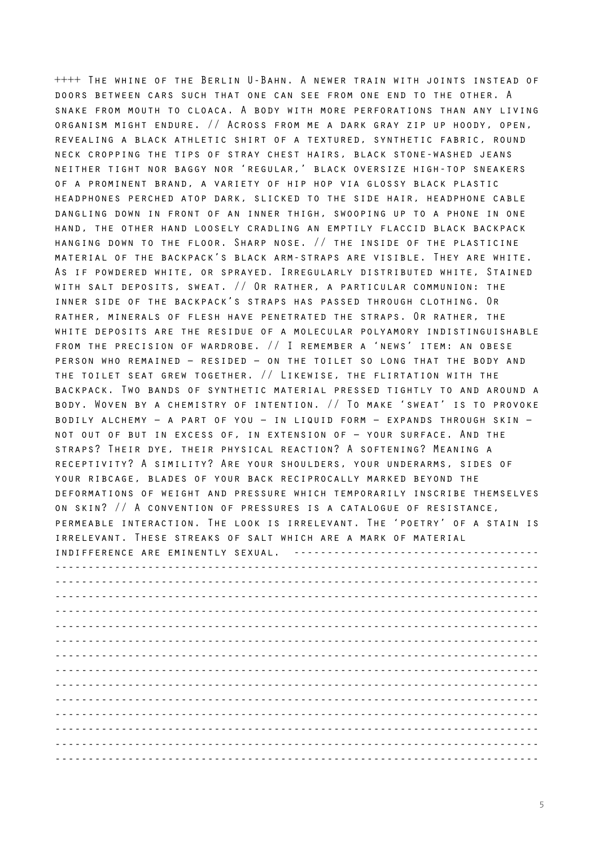++++ The whine of the Berlin U-Bahn. A newer train with joints instead of doors between cars such that one can see from one end to the other. A snake from mouth to cloaca. A body with more perforations than any living organism might endure. // Across from me a dark gray zip up hoody, open, revealing a black athletic shirt of a textured, synthetic fabric, round neck cropping the tips of stray chest hairs, black stone-washed jeans neither tight nor baggy nor 'regular,' black oversize high-top sneakers of a prominent brand, a variety of hip hop via glossy black plastic headphones perched atop dark, slicked to the side hair, headphone cable dangling down in front of an inner thigh, swooping up to a phone in one hand, the other hand loosely cradling an emptily flaccid black backpack hanging down to the floor. Sharp nose. // the inside of the plasticine material of the backpack's black arm-straps are visible. They are white. As if powdered white, or sprayed. Irregularly distributed white, Stained with salt deposits, sweat. // Or rather, a particular communion: the inner side of the backpack's straps has passed through clothing. Or rather, minerals of flesh have penetrated the straps. Or rather, the white deposits are the residue of a molecular polyamory indistinguishable from the precision of wardrobe. // I remember a 'news' item: an obese person who remained – resided – on the toilet so long that the body and the toilet seat grew together. // Likewise, the flirtation with the backpack. Two bands of synthetic material pressed tightly to and around a body. Woven by a chemistry of intention. // To make 'sweat' is to provoke bodily alchemy – a part of you – in liquid form – expands through skin – not out of but in excess of, in extension of – your surface. And the straps? Their dye, their physical reaction? A softening? Meaning a receptivity? A simility? Are your shoulders, your underarms, sides of your ribcage, blades of your back reciprocally marked beyond the deformations of weight and pressure which temporarily inscribe themselves on skin? // A convention of pressures is a catalogue of resistance, permeable interaction. The look is irrelevant. The 'poetry' of a stain is irrelevant. These streaks of salt which are a mark of material indifference are eminently sexual. ------------------------------------- ------------------------------------------------------------------------- ------------------------------------------------------------------------- ------------------------------------------------------------------------- ------------------------------------------------------------------------- ------------------------------------------------------------------------- ------------------------------------------------------------------------- ------------------------------------------------------------------------- ------------------------------------------------------------------------- ------------------------------------------------------------------------- ------------------------------------------------------------------------- ------------------------------------------------------------------------- ------------------------------------------------------------------------- ------------------------------------------------------------------------- -------------------------------------------------------------------------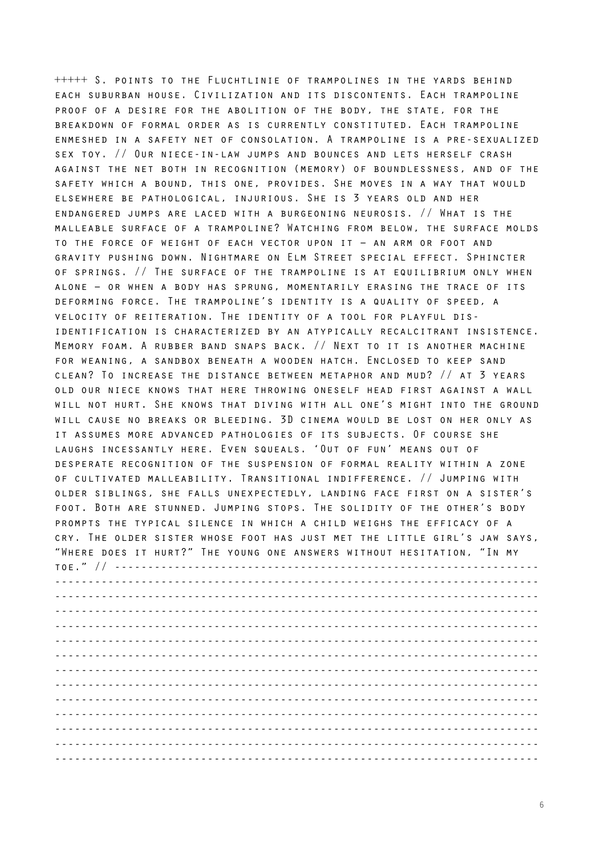+++++ S. points to the Fluchtlinie of trampolines in the yards behind each suburban house. Civilization and its discontents. Each trampoline proof of a desire for the abolition of the body, the state, for the breakdown of formal order as is currently constituted. Each trampoline enmeshed in a safety net of consolation. A trampoline is a pre-sexualized sex toy. // Our niece-in-law jumps and bounces and lets herself crash against the net both in recognition (memory) of boundlessness, and of the safety which a bound, this one, provides. She moves in a way that would elsewhere be pathological, injurious. She is 3 years old and her endangered jumps are laced with a burgeoning neurosis. // What is the malleable surface of a trampoline? Watching from below, the surface molds to the force of weight of each vector upon it – an arm or foot and gravity pushing down. Nightmare on Elm Street special effect. Sphincter of springs. // The surface of the trampoline is at equilibrium only when alone – or when a body has sprung, momentarily erasing the trace of its deforming force. The trampoline's identity is a quality of speed, a velocity of reiteration. The identity of a tool for playful disidentification is characterized by an atypically recalcitrant insistence. Memory foam. A rubber band snaps back. // Next to it is another machine for weaning, a sandbox beneath a wooden hatch. Enclosed to keep sand clean? To increase the distance between metaphor and mud? // at 3 years old our niece knows that here throwing oneself head first against a wall will not hurt. She knows that diving with all one's might into the ground will cause no breaks or bleeding. 3D cinema would be lost on her only as it assumes more advanced pathologies of its subjects. Of course she laughs incessantly here. Even squeals. 'Out of fun' means out of desperate recognition of the suspension of formal reality within a zone of cultivated malleability. Transitional indifference. // Jumping with older siblings, she falls unexpectedly, landing face first on a sister's foot. Both are stunned. Jumping stops. The solidity of the other's body prompts the typical silence in which a child weighs the efficacy of a cry. The older sister whose foot has just met the little girl's jaw says, "Where does it hurt?" The young one answers without hesitation, "In my toe." // ---------------------------------------------------------------- ------------------------------------------------------------------------- ------------------------------------------------------------------------- ------------------------------------------------------------------------- ------------------------------------------------------------------------- ------------------------------------------------------------------------- ------------------------------------------------------------------------- ------------------------------------------------------------------------- ------------------------------------------------------------------------- ------------------------------------------------------------------------- ------------------------------------------------------------------------- ------------------------------------------------------------------------- -------------------------------------------------------------------------

-------------------------------------------------------------------------